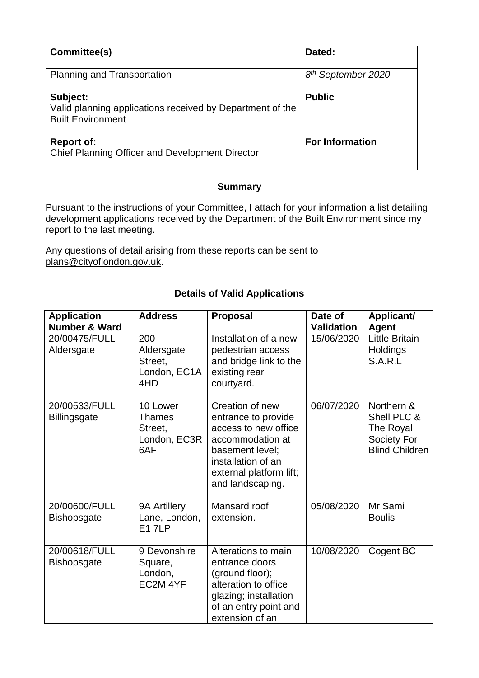| Committee(s)                                                                                      | Dated:                         |
|---------------------------------------------------------------------------------------------------|--------------------------------|
| <b>Planning and Transportation</b>                                                                | 8 <sup>th</sup> September 2020 |
| Subject:<br>Valid planning applications received by Department of the<br><b>Built Environment</b> | <b>Public</b>                  |
| <b>Report of:</b><br>Chief Planning Officer and Development Director                              | <b>For Information</b>         |

## **Summary**

Pursuant to the instructions of your Committee, I attach for your information a list detailing development applications received by the Department of the Built Environment since my report to the last meeting.

Any questions of detail arising from these reports can be sent to [plans@cityoflondon.gov.uk.](mailto:plans@cityoflondon.gov.uk)

| <b>Application</b><br><b>Number &amp; Ward</b> | <b>Address</b>                                              | <b>Proposal</b>                                                                                                                                                            | Date of<br><b>Validation</b> | Applicant/<br><b>Agent</b>                                                     |
|------------------------------------------------|-------------------------------------------------------------|----------------------------------------------------------------------------------------------------------------------------------------------------------------------------|------------------------------|--------------------------------------------------------------------------------|
| 20/00475/FULL<br>Aldersgate                    | 200<br>Aldersgate<br>Street.<br>London, EC1A<br>4HD         | Installation of a new<br>pedestrian access<br>and bridge link to the<br>existing rear<br>courtyard.                                                                        | 15/06/2020                   | <b>Little Britain</b><br><b>Holdings</b><br>S.A.R.L                            |
| 20/00533/FULL<br><b>Billingsgate</b>           | 10 Lower<br><b>Thames</b><br>Street.<br>London, EC3R<br>6AF | Creation of new<br>entrance to provide<br>access to new office<br>accommodation at<br>basement level;<br>installation of an<br>external platform lift;<br>and landscaping. | 06/07/2020                   | Northern &<br>Shell PLC &<br>The Royal<br>Society For<br><b>Blind Children</b> |
| 20/00600/FULL<br><b>Bishopsgate</b>            | 9A Artillery<br>Lane, London,<br><b>E17LP</b>               | Mansard roof<br>extension.                                                                                                                                                 | 05/08/2020                   | Mr Sami<br><b>Boulis</b>                                                       |
| 20/00618/FULL<br><b>Bishopsgate</b>            | 9 Devonshire<br>Square,<br>London,<br>EC2M 4YF              | Alterations to main<br>entrance doors<br>(ground floor);<br>alteration to office<br>glazing; installation<br>of an entry point and<br>extension of an                      | 10/08/2020                   | Cogent BC                                                                      |

## **Details of Valid Applications**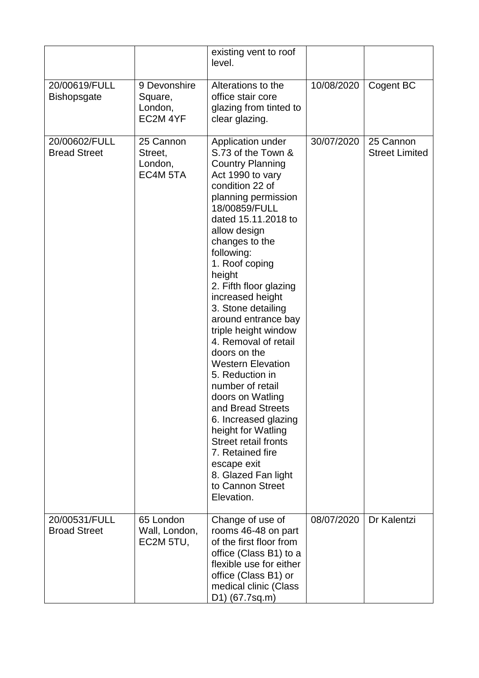|                                      |                                                | existing vent to roof<br>level.                                                                                                                                                                                                                                                                                                                                                                                                                                                                                                                                                                                                                                                                      |            |                                    |
|--------------------------------------|------------------------------------------------|------------------------------------------------------------------------------------------------------------------------------------------------------------------------------------------------------------------------------------------------------------------------------------------------------------------------------------------------------------------------------------------------------------------------------------------------------------------------------------------------------------------------------------------------------------------------------------------------------------------------------------------------------------------------------------------------------|------------|------------------------------------|
| 20/00619/FULL<br><b>Bishopsgate</b>  | 9 Devonshire<br>Square,<br>London,<br>EC2M 4YF | Alterations to the<br>office stair core<br>glazing from tinted to<br>clear glazing.                                                                                                                                                                                                                                                                                                                                                                                                                                                                                                                                                                                                                  | 10/08/2020 | Cogent BC                          |
| 20/00602/FULL<br><b>Bread Street</b> | 25 Cannon<br>Street,<br>London,<br>EC4M 5TA    | Application under<br>S.73 of the Town &<br><b>Country Planning</b><br>Act 1990 to vary<br>condition 22 of<br>planning permission<br>18/00859/FULL<br>dated 15.11.2018 to<br>allow design<br>changes to the<br>following:<br>1. Roof coping<br>height<br>2. Fifth floor glazing<br>increased height<br>3. Stone detailing<br>around entrance bay<br>triple height window<br>4. Removal of retail<br>doors on the<br><b>Western Elevation</b><br>5. Reduction in<br>number of retail<br>doors on Watling<br>and Bread Streets<br>6. Increased glazing<br>height for Watling<br><b>Street retail fronts</b><br>7. Retained fire<br>escape exit<br>8. Glazed Fan light<br>to Cannon Street<br>Elevation. | 30/07/2020 | 25 Cannon<br><b>Street Limited</b> |
| 20/00531/FULL<br><b>Broad Street</b> | 65 London<br>Wall, London,<br>EC2M 5TU,        | Change of use of<br>rooms 46-48 on part<br>of the first floor from<br>office (Class B1) to a<br>flexible use for either<br>office (Class B1) or<br>medical clinic (Class<br>D1) (67.7sq.m)                                                                                                                                                                                                                                                                                                                                                                                                                                                                                                           | 08/07/2020 | Dr Kalentzi                        |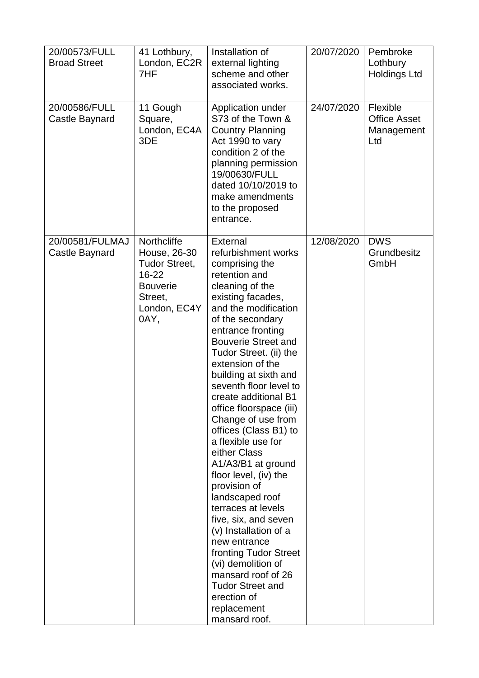| 20/00573/FULL<br><b>Broad Street</b> | 41 Lothbury,<br>London, EC2R<br>7HF                                                                                | Installation of<br>external lighting<br>scheme and other<br>associated works.                                                                                                                                                                                                                                                                                                                                                                                                                                                                                                                                                                                                                                                                                              | 20/07/2020 | Pembroke<br>Lothbury<br><b>Holdings Ltd</b>          |
|--------------------------------------|--------------------------------------------------------------------------------------------------------------------|----------------------------------------------------------------------------------------------------------------------------------------------------------------------------------------------------------------------------------------------------------------------------------------------------------------------------------------------------------------------------------------------------------------------------------------------------------------------------------------------------------------------------------------------------------------------------------------------------------------------------------------------------------------------------------------------------------------------------------------------------------------------------|------------|------------------------------------------------------|
| 20/00586/FULL<br>Castle Baynard      | 11 Gough<br>Square,<br>London, EC4A<br>3DE                                                                         | Application under<br>S73 of the Town &<br><b>Country Planning</b><br>Act 1990 to vary<br>condition 2 of the<br>planning permission<br>19/00630/FULL<br>dated 10/10/2019 to<br>make amendments<br>to the proposed<br>entrance.                                                                                                                                                                                                                                                                                                                                                                                                                                                                                                                                              | 24/07/2020 | Flexible<br><b>Office Asset</b><br>Management<br>Ltd |
| 20/00581/FULMAJ<br>Castle Baynard    | Northcliffe<br>House, 26-30<br><b>Tudor Street,</b><br>16-22<br><b>Bouverie</b><br>Street,<br>London, EC4Y<br>0AY, | External<br>refurbishment works<br>comprising the<br>retention and<br>cleaning of the<br>existing facades,<br>and the modification<br>of the secondary<br>entrance fronting<br><b>Bouverie Street and</b><br>Tudor Street. (ii) the<br>extension of the<br>building at sixth and<br>seventh floor level to<br>create additional B1<br>office floorspace (iii)<br>Change of use from<br>offices (Class B1) to<br>a flexible use for<br>either Class<br>A1/A3/B1 at ground<br>floor level, (iv) the<br>provision of<br>landscaped roof<br>terraces at levels<br>five, six, and seven<br>(v) Installation of a<br>new entrance<br>fronting Tudor Street<br>(vi) demolition of<br>mansard roof of 26<br><b>Tudor Street and</b><br>erection of<br>replacement<br>mansard roof. | 12/08/2020 | <b>DWS</b><br>Grundbesitz<br>GmbH                    |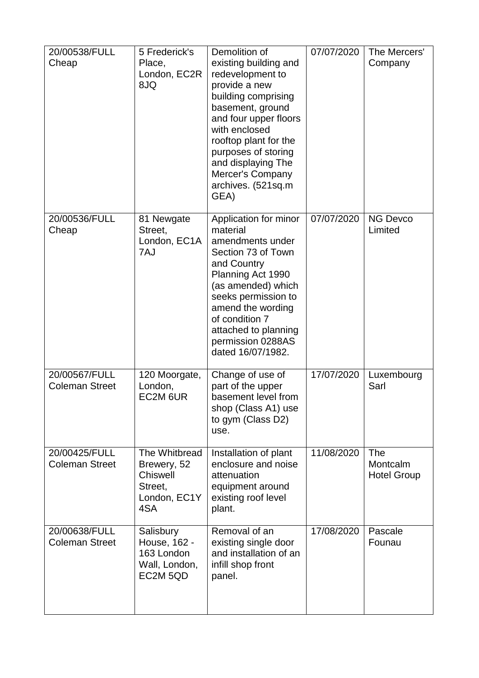| 20/00538/FULL<br>Cheap                 | 5 Frederick's<br>Place,<br>London, EC2R<br>8JQ                             | Demolition of<br>existing building and<br>redevelopment to<br>provide a new<br>building comprising<br>basement, ground<br>and four upper floors<br>with enclosed<br>rooftop plant for the<br>purposes of storing<br>and displaying The<br>Mercer's Company<br>archives. (521sq.m<br>GEA) | 07/07/2020 | The Mercers'<br>Company                      |
|----------------------------------------|----------------------------------------------------------------------------|------------------------------------------------------------------------------------------------------------------------------------------------------------------------------------------------------------------------------------------------------------------------------------------|------------|----------------------------------------------|
| 20/00536/FULL<br>Cheap                 | 81 Newgate<br>Street,<br>London, EC1A<br>7AJ                               | Application for minor<br>material<br>amendments under<br>Section 73 of Town<br>and Country<br>Planning Act 1990<br>(as amended) which<br>seeks permission to<br>amend the wording<br>of condition 7<br>attached to planning<br>permission 0288AS<br>dated 16/07/1982.                    | 07/07/2020 | <b>NG Devco</b><br>Limited                   |
| 20/00567/FULL<br><b>Coleman Street</b> | 120 Moorgate,<br>London,<br>EC2M 6UR                                       | Change of use of<br>part of the upper<br>basement level from<br>shop (Class A1) use<br>to gym (Class D2)<br>use.                                                                                                                                                                         | 17/07/2020 | Luxembourg<br>Sarl                           |
| 20/00425/FULL<br><b>Coleman Street</b> | The Whitbread<br>Brewery, 52<br>Chiswell<br>Street,<br>London, EC1Y<br>4SA | Installation of plant<br>enclosure and noise<br>attenuation<br>equipment around<br>existing roof level<br>plant.                                                                                                                                                                         | 11/08/2020 | <b>The</b><br>Montcalm<br><b>Hotel Group</b> |
| 20/00638/FULL<br><b>Coleman Street</b> | Salisbury<br>House, 162 -<br>163 London<br>Wall, London,<br>EC2M 5QD       | Removal of an<br>existing single door<br>and installation of an<br>infill shop front<br>panel.                                                                                                                                                                                           | 17/08/2020 | Pascale<br>Founau                            |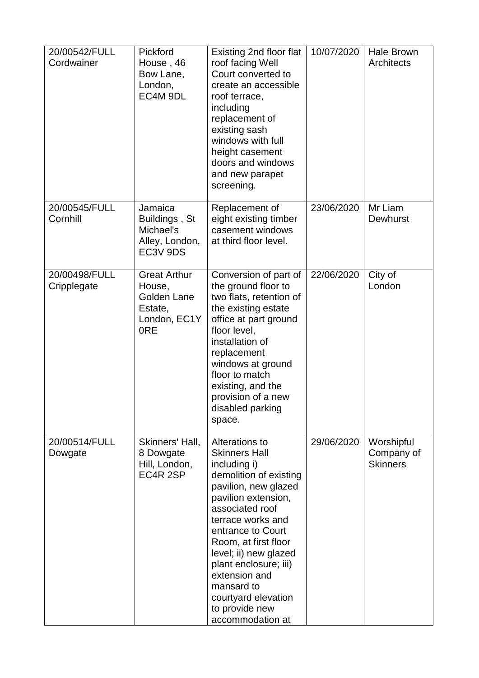| 20/00542/FULL<br>Cordwainer  | Pickford<br>House, 46<br>Bow Lane,<br>London,<br>EC4M 9DL                      | Existing 2nd floor flat<br>roof facing Well<br>Court converted to<br>create an accessible<br>roof terrace,<br>including<br>replacement of<br>existing sash<br>windows with full<br>height casement<br>doors and windows<br>and new parapet<br>screening.                                                                                                           | 10/07/2020 | <b>Hale Brown</b><br>Architects             |
|------------------------------|--------------------------------------------------------------------------------|--------------------------------------------------------------------------------------------------------------------------------------------------------------------------------------------------------------------------------------------------------------------------------------------------------------------------------------------------------------------|------------|---------------------------------------------|
| 20/00545/FULL<br>Cornhill    | Jamaica<br>Buildings, St<br>Michael's<br>Alley, London,<br>EC3V 9DS            | Replacement of<br>eight existing timber<br>casement windows<br>at third floor level.                                                                                                                                                                                                                                                                               | 23/06/2020 | Mr Liam<br><b>Dewhurst</b>                  |
| 20/00498/FULL<br>Cripplegate | <b>Great Arthur</b><br>House,<br>Golden Lane<br>Estate,<br>London, EC1Y<br>0RE | Conversion of part of<br>the ground floor to<br>two flats, retention of<br>the existing estate<br>office at part ground<br>floor level,<br>installation of<br>replacement<br>windows at ground<br>floor to match<br>existing, and the<br>provision of a new<br>disabled parking<br>space.                                                                          | 22/06/2020 | City of<br>London                           |
| 20/00514/FULL<br>Dowgate     | Skinners' Hall,<br>8 Dowgate<br>Hill, London,<br>EC4R <sub>2SP</sub>           | Alterations to<br><b>Skinners Hall</b><br>including i)<br>demolition of existing<br>pavilion, new glazed<br>pavilion extension,<br>associated roof<br>terrace works and<br>entrance to Court<br>Room, at first floor<br>level; ii) new glazed<br>plant enclosure; iii)<br>extension and<br>mansard to<br>courtyard elevation<br>to provide new<br>accommodation at | 29/06/2020 | Worshipful<br>Company of<br><b>Skinners</b> |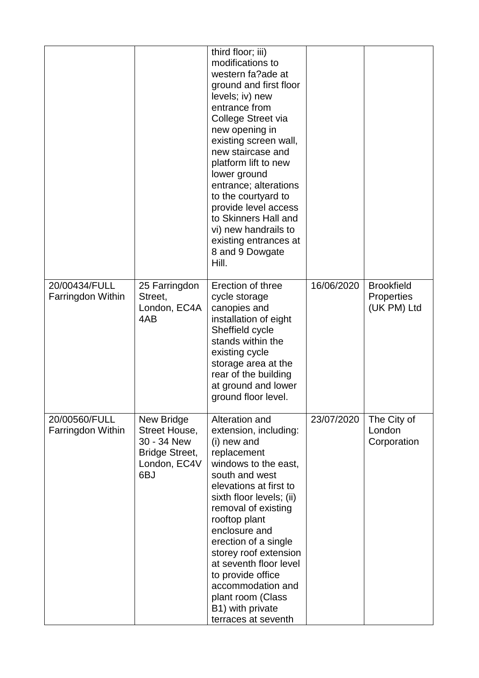|                                    |                                                                                            | third floor; iii)<br>modifications to<br>western fa?ade at<br>ground and first floor<br>levels; iv) new<br>entrance from<br>College Street via<br>new opening in<br>existing screen wall,<br>new staircase and<br>platform lift to new<br>lower ground<br>entrance; alterations<br>to the courtyard to<br>provide level access<br>to Skinners Hall and<br>vi) new handrails to<br>existing entrances at<br>8 and 9 Dowgate<br>Hill. |            |                                                       |
|------------------------------------|--------------------------------------------------------------------------------------------|-------------------------------------------------------------------------------------------------------------------------------------------------------------------------------------------------------------------------------------------------------------------------------------------------------------------------------------------------------------------------------------------------------------------------------------|------------|-------------------------------------------------------|
| 20/00434/FULL<br>Farringdon Within | 25 Farringdon<br>Street,<br>London, EC4A<br>4AB                                            | Erection of three<br>cycle storage<br>canopies and<br>installation of eight<br>Sheffield cycle<br>stands within the<br>existing cycle<br>storage area at the<br>rear of the building<br>at ground and lower<br>ground floor level.                                                                                                                                                                                                  | 16/06/2020 | <b>Brookfield</b><br><b>Properties</b><br>(UK PM) Ltd |
| 20/00560/FULL<br>Farringdon Within | New Bridge<br>Street House,<br>30 - 34 New<br><b>Bridge Street,</b><br>London, EC4V<br>6BJ | Alteration and<br>extension, including:<br>(i) new and<br>replacement<br>windows to the east,<br>south and west<br>elevations at first to<br>sixth floor levels; (ii)<br>removal of existing<br>rooftop plant<br>enclosure and<br>erection of a single<br>storey roof extension<br>at seventh floor level<br>to provide office<br>accommodation and<br>plant room (Class<br>B1) with private<br>terraces at seventh                 | 23/07/2020 | The City of<br>London<br>Corporation                  |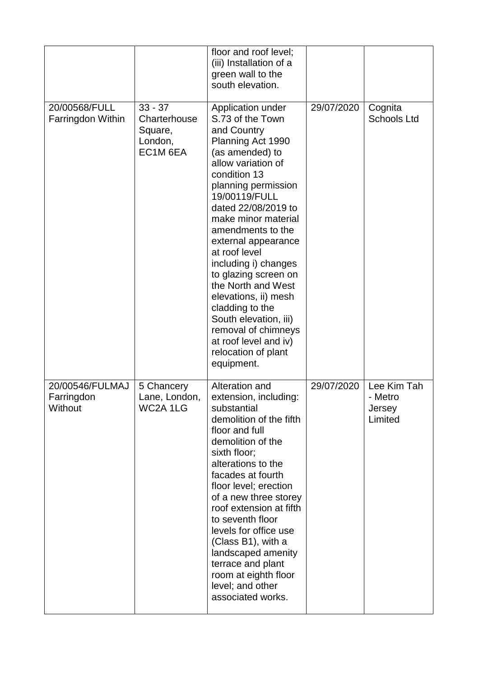|                                          |                                                             | floor and roof level;<br>(iii) Installation of a<br>green wall to the<br>south elevation.                                                                                                                                                                                                                                                                                                                                                                                                                            |            |                                             |
|------------------------------------------|-------------------------------------------------------------|----------------------------------------------------------------------------------------------------------------------------------------------------------------------------------------------------------------------------------------------------------------------------------------------------------------------------------------------------------------------------------------------------------------------------------------------------------------------------------------------------------------------|------------|---------------------------------------------|
| 20/00568/FULL<br>Farringdon Within       | $33 - 37$<br>Charterhouse<br>Square,<br>London,<br>EC1M 6EA | Application under<br>S.73 of the Town<br>and Country<br>Planning Act 1990<br>(as amended) to<br>allow variation of<br>condition 13<br>planning permission<br>19/00119/FULL<br>dated 22/08/2019 to<br>make minor material<br>amendments to the<br>external appearance<br>at roof level<br>including i) changes<br>to glazing screen on<br>the North and West<br>elevations, ii) mesh<br>cladding to the<br>South elevation, iii)<br>removal of chimneys<br>at roof level and iv)<br>relocation of plant<br>equipment. | 29/07/2020 | Cognita<br><b>Schools Ltd</b>               |
| 20/00546/FULMAJ<br>Farringdon<br>Without | 5 Chancery<br>Lane, London,<br>WC2A 1LG                     | Alteration and<br>extension, including:<br>substantial<br>demolition of the fifth<br>floor and full<br>demolition of the<br>sixth floor;<br>alterations to the<br>facades at fourth<br>floor level; erection<br>of a new three storey<br>roof extension at fifth<br>to seventh floor<br>levels for office use<br>(Class B1), with a<br>landscaped amenity<br>terrace and plant<br>room at eighth floor<br>level; and other<br>associated works.                                                                      | 29/07/2020 | Lee Kim Tah<br>- Metro<br>Jersey<br>Limited |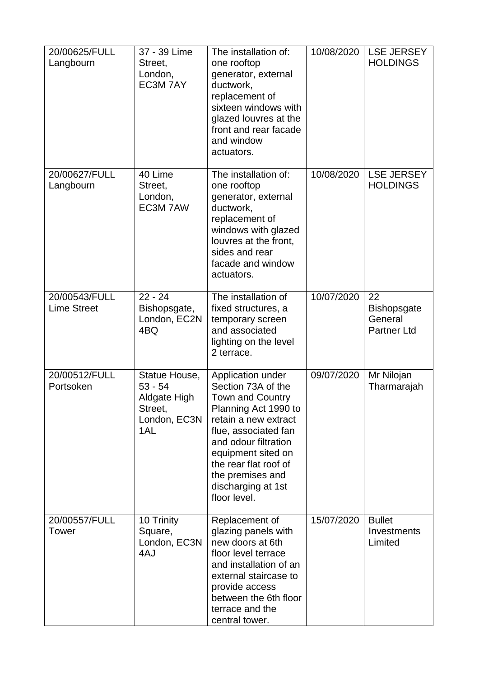| 20/00625/FULL<br>Langbourn          | 37 - 39 Lime<br>Street,<br>London,<br>EC3M 7AY                                      | The installation of:<br>one rooftop<br>generator, external<br>ductwork,<br>replacement of<br>sixteen windows with<br>glazed louvres at the<br>front and rear facade<br>and window<br>actuators.                                                                             | 10/08/2020 | <b>LSE JERSEY</b><br><b>HOLDINGS</b>                      |
|-------------------------------------|-------------------------------------------------------------------------------------|-----------------------------------------------------------------------------------------------------------------------------------------------------------------------------------------------------------------------------------------------------------------------------|------------|-----------------------------------------------------------|
| 20/00627/FULL<br>Langbourn          | 40 Lime<br>Street,<br>London,<br>EC3M 7AW                                           | The installation of:<br>one rooftop<br>generator, external<br>ductwork,<br>replacement of<br>windows with glazed<br>louvres at the front,<br>sides and rear<br>facade and window<br>actuators.                                                                              | 10/08/2020 | <b>LSE JERSEY</b><br><b>HOLDINGS</b>                      |
| 20/00543/FULL<br><b>Lime Street</b> | $22 - 24$<br>Bishopsgate,<br>London, EC2N<br>4BQ                                    | The installation of<br>fixed structures, a<br>temporary screen<br>and associated<br>lighting on the level<br>2 terrace.                                                                                                                                                     | 10/07/2020 | 22<br><b>Bishopsgate</b><br>General<br><b>Partner Ltd</b> |
| 20/00512/FULL<br>Portsoken          | Statue House,<br>$53 - 54$<br><b>Aldgate High</b><br>Street,<br>London, EC3N<br>1AL | Application under<br>Section 73A of the<br><b>Town and Country</b><br>Planning Act 1990 to<br>retain a new extract<br>flue, associated fan<br>and odour filtration<br>equipment sited on<br>the rear flat roof of<br>the premises and<br>discharging at 1st<br>floor level. | 09/07/2020 | Mr Nilojan<br>Tharmarajah                                 |
| 20/00557/FULL<br><b>Tower</b>       | 10 Trinity<br>Square,<br>London, EC3N<br>4AJ                                        | Replacement of<br>glazing panels with<br>new doors at 6th<br>floor level terrace<br>and installation of an<br>external staircase to<br>provide access<br>between the 6th floor<br>terrace and the<br>central tower.                                                         | 15/07/2020 | <b>Bullet</b><br>Investments<br>Limited                   |